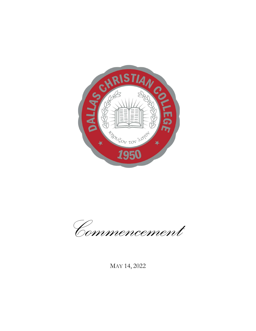

Commencement

MAY 14, 2022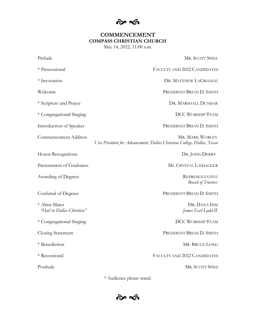$\hat{\sigma}$ 

# **COMMENCEMENT** COMPASS CHRISTIAN CHURCH

May 14, 2022, 11:00 a.m.

| Prelude                                    | <b>MR. SCOTT SPIES</b>                                                                     |
|--------------------------------------------|--------------------------------------------------------------------------------------------|
| * Processional                             | FACULTY AND 2022 CANDIDATES                                                                |
| * Invocation                               | DR. MATTHEW LAGRANGE                                                                       |
| Welcome                                    | PRESIDENT BRIAN D. SMITH                                                                   |
| * Scripture and Prayer                     | DR. MARSHALL DUNBAR                                                                        |
| * Congregational Singing                   | <b>DCC WORSHIP TEAM</b>                                                                    |
| Introduction of Speaker                    | PRESIDENT BRIAN D. SMITH                                                                   |
| <b>Commencement Address</b>                | MR. MARK WORLEY<br>Vice President for Advancement, Dallas Christian College, Dallas, Texas |
| Honor Recognitions                         | DR. JOHN DERRY                                                                             |
| Presentation of Graduates                  | MS. CRYSTAL LAIDACKER                                                                      |
| Awarding of Degrees                        | <b>REPRESENTATIVE</b><br><b>Board of Trustees</b>                                          |
| Conferral of Degrees                       | PRESIDENT BRIAN D. SMITH                                                                   |
| * Alma Mater<br>'Hail to Dallas Christian" | DR. DANA IHM<br>James Earl Ladd II                                                         |
| * Congregational Singing                   | <b>DCC WORSHIP TEAM</b>                                                                    |
| Closing Statement                          | PRESIDENT BRIAN D. SMITH                                                                   |
| * Benediction                              | MR. BRUCE LONG                                                                             |
| * Recessional                              | FACULTY AND 2022 CANDIDATES                                                                |
| Postlude                                   | <b>MR. SCOTT SPIES</b>                                                                     |

\* Audience please stand.

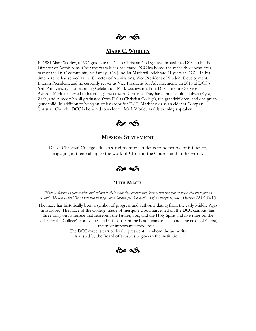# $\approx$   $\leq$

# MARK C. WORLEY

In 1981 Mark Worley, a 1976 graduate of Dallas Christian College, was brought to DCC to be the Director of Admissions. Over the years Mark has made DCC his home and made those who are a part of the DCC community his family. On June 1st Mark will celebrate 41 years at DCC. In his time here he has served as the Director of Admissions, Vice President of Student Development, Interim President, and he currently serves as Vice President for Advancement. In 2015 at DCC's 65th Anniversary Homecoming Celebration Mark was awarded the DCC Lifetime Service Award. Mark is married to his college sweetheart, Caroline. They have three adult children (Kyle, Zach, and Aimee who all graduated from Dallas Christian College), ten grandchildren, and one greatgrandchild. In addition to being an ambassador for DCC, Mark serves as an elder at Compass Christian Church. DCC is honored to welcome Mark Worley as this evening's speaker.



# MISSION STATEMENT

Dallas Christian College educates and mentors students to be people of influence, engaging in their calling to the work of Christ in the Church and in the world.



# THE MACE

"Have confidence in your leaders and submit to their authority, because they keep watch over you as those who must give an account. Do this so that their work will be a joy, not a burden, for that would be of no benefit to you." Hebrews 13:17 (NIV)

The mace has historically been a symbol of progress and authority dating from the early Middle Ages in Europe. The mace of the College, made of mesquite wood harvested on the DCC campus, has three rings on its ferrule that represent the Father, Son, and the Holy Spirit and five rings on the collar for the College's core values and mission. On the head, unadorned, stands the cross of Christ, the most important symbol of all.

> The DCC mace is carried by the president, in whom the authority is vested by the Board of Trustees to govern the institution.

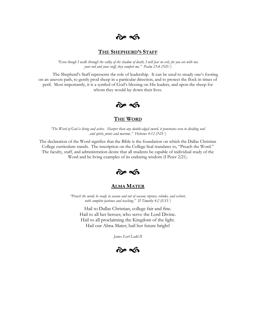p s

# **THE SHEPHERD'S STAFF**

"Even though I walk through the valley of the shadow of death, I will fear no evil, for you are with me; your rod and your staff, they comfort me." Psalm 23:4 (NIV)

The Shepherd's Staff represents the role of leadership. It can be used to steady one's footing on an uneven path, to gently prod sheep in a particular direction, and to protect the flock in times of peril. Most importantly, it is a symbol of God's blessing on His leaders, and upon the sheep for whom they would lay down their lives.



# THE WORD

"The Word of God is living and active. Sharper than any double-edged sword, it penetrates even to dividing soul and spirit, joints and marrow." Hebrews 4:12 (NIV)

The declaration of the Word signifies that the Bible is the foundation on which the Dallas Christian College curriculum stands. The inscription on the College Seal translates to, "Preach the Word." The faculty, staff, and administration desire that all students be capable of individual study of the Word and be living examples of its enduring wisdom (I Peter 2:21).



# ALMA MATER

"Preach the word; be ready in season and out of season; reprove, rebuke, and exhort, with complete patience and teaching." II Timothy 4:2 (ESV)

Hail to Dallas Christian, college fair and fine. Hail to all her heroes; who serve the Lord Divine. Hail to all proclaiming the Kingdom of the light. Hail our Alma Mater; hail her future bright!

James Earl Ladd II

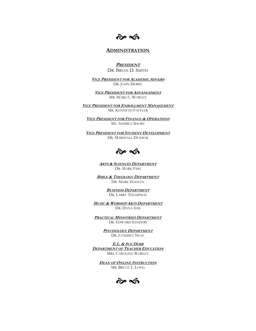po S

# ADMINISTRATION

**PRESIDENT** DR. BRIAN D. SMITH

VICE PRESIDENT FOR ACADEMIC AFFAIRS DR. JOHN DERRY

VICE PRESIDENT FOR ADVANCEMENT MR. MARK C. WORLEY

VICE PRESIDENT FOR ENROLLMENT MANAGEMENT MR. KENNETH FAFFLER

**VICE PRESIDENT FOR FINANCE & OPERATIONS** MS. ANDREA SHORT

VICE PRESIDENT FOR STUDENT DEVELOPMENT DR. MARSHALL DUNBAR



ARTS & SCIENCES DEPARTMENT DR. MARK FISH

**BIBLE & THEOLOGY DEPARTMENT** DR. MARK HAHLEN

> BUSINESS DEPARTMENT DR. LARRY THOMPSON

MUSIC & WORSHIP ARTS DEPARTMENT DR. DANA IHM

PRACTICAL MINISTRIES DEPARTMENT DR. EDWARD SANDERS

> PSYCHOLOGY DEPARTMENT DR. LYNDSEY NEAL

E.L. & SUE DERR **DEPARTMENT OF TEACHER EDUCATION** MRS. CAROLINE WORLEY

**DEAN OF ONLINE INSTRUCTION** MR. BRUCE L. LONG

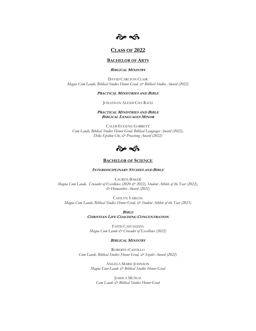

# CLASS OF 2022

### BACHELOR OF ARTS

# BIBLICAL MINISTRY

DAVID CARLTON CLAIR Magna Cum Laude, Biblical Studies Honor Grad, & Biblical Studies Award (2022)

#### PRACTICAL MINISTRIES AND BIBLE

#### JONATHAN ALEXIS CHA RACH

### PRACTICAL MINISTRIES AND BIBLE BIBLICAL LANGUAGES MINOR

CALEB EUGENE GARRETT Cum Laude, Biblical Studies Honor Grad, Biblical Languages Award (2022), Delta Epsilon Chi, & Preaching Award (2022)



# **BACHELOR OF SCIENCE**

#### INTERDISCIPLINARY STUDIES AND BIBLE

LAUREN BAKER Magna Cum Laude, Crusader of Excellence (2020 & 2022), Student Athlete of the Year (2022), & Humanities Award (2022)

CAITLYN YABLON Magna Cum Laude, Biblical Studies Honor Grad, & Student Athlete of the Year (2021)

> **BIBLE** CHRISTIAN LIFE COACHING CONCENTRATION

FAITH CASTANEDA Magna Cum Laude & Crusader of Excellence (2022)

#### BIBLICAL MINISTRY

ROBERTO CASTILLO Cum Laude, Biblical Studies Honor Grad, & Snyder Award (2022)

> ANGELA MARIE JOHNSON Magna Cum Laude & Biblical Studies Honor Grad

JOSHUA MUÑOZ Cum Laude & Biblical Studies Honor Grad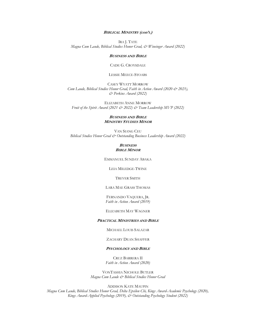#### BIBLICAL MINISTRY (con't.)

IRA J. TATE Magna Cum Laude, Biblical Studies Honor Grad, & Wineinger Award (2022)

#### BUSINESS AND BIBLE

CADE G. CROYSDALE

#### LESSIE MEECE-STOABS

CASEY WYATT MORROW Cum Laude, Biblical Studies Honor Grad, Faith in Action Award (2020 & 2021), & Perkins Award (2022)

ELIZABETH ANNE MORROW Fruit of the Spirit Award (2021 & 2022) & Team Leadership MVP (2022)

### BUSINESS AND BIBLE MINISTRY STUDIES MINOR

VAN SIANG CEU Biblical Studies Honor Grad & Outstanding Business Leadership Award (2022)

#### **BUSINESS BIBLE MINOR**

EMMANUEL SUNDAY ABAKA

LEIA MILEDGE-TWINE

## TREVER SMITH

LARA MAE GRASS THOMAS

# FERNANDO VAQUERA, JR. Faith in Action Award (2019)

#### ELIZABETH MAY WAGNER

#### PRACTICAL MINISTRIES AND BIBLE

MICHAEL LOUIS SALAZAR

## ZACHARY DEAN SHAFFER

# PSYCHOLOGY AND BIBLE

CRUZ BARRERA II Faith in Action Award (2020)

VONTASHIA NICHOLE BUTLER Magna Cum Laude & Biblical Studies Honor Grad

ADDISON KATE MAUPIN

Magna Cum Laude, Biblical Studies Honor Grad, Delta Epsilon Chi, Kings Award-Academic Psychology (2020), Kings Award-Applied Psychology (2019), & Outstanding Psychology Student (2022)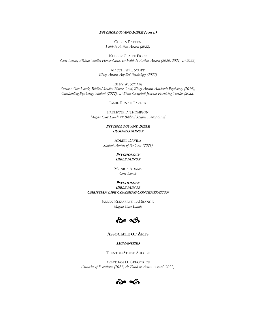## PSYCHOLOGY AND BIBLE (con't.)

COLLIN PATTEN Faith in Action Award (2022)

KEELEY CLAIRE PRICE Cum Laude, Biblical Studies Honor Grad, & Faith in Action Award (2020, 2021, & 2022)

> MATTHEW C. SCOTT Kings Award-Applied Psychology (2022)

RILEY W. STOABS Summa Cum Laude, Biblical Studies Honor Grad, Kings Award-Academic Psychology (2019), Outstanding Psychology Student (2022), & Stone-Campbell Journal Promising Scholar (2022)

JAMIE RENAE TAYLOR

PAULETTE P. THOMPSON Magna Cum Laude & Biblical Studies Honor Grad

### PSYCHOLOGY AND BIBLE BUSINESS MINOR

ADRIEL DAVILA Student Athlete of the Year (2021)

### **PSYCHOLOGY** BIBLE MINOR

MONICA ADAMS Cum Laude

### **PSYCHOLOGY BIBLE MINOR** CHRISTIAN LIFE COACHING CONCENTRATION

ELLEN ELIZABETH LAGRANGE Magna Cum Laude



# ASSOCIATE OF ARTS

**HUMANITIES** 

TRENTON STONE AULGER

JONATHAN D. GREGORICH Crusader of Excellence (2021) & Faith in Action Award (2022)